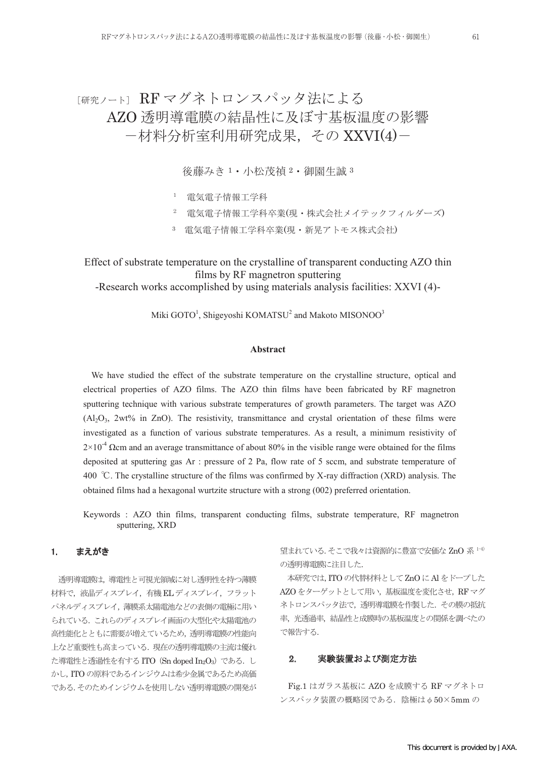# 「研究ノート」RFマグネトロンスパッタ法による AZO 透明導電膜の結晶性に及ぼす基板温度の影響 -材料分析室利用研究成果,その XXVI(4)-

後藤みき <sup>1</sup>・小松茂禎 <sup>2</sup>・御園生誠 <sup>3</sup>

- <sup>1</sup> 電気電子情報工学科
- <sup>2</sup> 電気電子情報工学科卒業(現・株式会社メイテックフィルダーズ)
- <sup>3</sup> 電気電子情報工学科卒業(現・新晃アトモス株式会社)

Effect of substrate temperature on the crystalline of transparent conducting AZO thin films by RF magnetron sputtering

-Research works accomplished by using materials analysis facilities: XXVI (4)-

Miki GOTO<sup>1</sup>, Shigeyoshi KOMATSU<sup>2</sup> and Makoto MISONOO<sup>3</sup>

# **Abstract**

We have studied the effect of the substrate temperature on the crystalline structure, optical and electrical properties of AZO films. The AZO thin films have been fabricated by RF magnetron sputtering technique with various substrate temperatures of growth parameters. The target was AZO  $(A_2O_3, 2wt\%$  in ZnO). The resistivity, transmittance and crystal orientation of these films were investigated as a function of various substrate temperatures. As a result, a minimum resistivity of  $2\times10^{-4}$  Ωcm and an average transmittance of about 80% in the visible range were obtained for the films deposited at sputtering gas Ar : pressure of 2 Pa, flow rate of 5 sccm, and substrate temperature of 400 ℃. The crystalline structure of the films was confirmed by X-ray diffraction (XRD) analysis. The obtained films had a hexagonal wurtzite structure with a strong (002) preferred orientation.

Keywords : AZO thin films, transparent conducting films, substrate temperature, RF magnetron sputtering, XRD

### 1. まえがき

透明導電膜は,導電性と可視光領域に対し透明性を持つ薄膜 材料で,液晶ディスプレイ,有機 EL ディスプレイ,フラット パネルディスプレイ,薄膜系太陽電池などの表側の電極に用い られている.これらのディスプレイ画面の大型化や太陽電池の 高性能化とともに需要が増えているため,透明導電膜の性能向 上など重要性も高まっている.現在の透明導電膜の主流は優れ た導電性と透過性を有するITO (Sn doped In<sub>2</sub>O<sub>3</sub>) である. し かし,ITO の原料であるインジウムは希少金属であるため高価 である。そのためインジウムを使用しない透明導電膜の開発が

望まれている。そこで我々は資源的に豊富で安価な ZnO 系 1-4) の透明導電膜に注目した.

本研究では,ITO の代替材料としてZnO にAl をドープした AZO をターゲットとして用い,基板温度を変化させ,RF マグ ネトロンスパッタ法で,透明導電膜を作製した.その膜の抵抗 率,光透過率,結晶性と成膜時の基板温度との関係を調べたの で報告する.

### 2. 実験装置および測定方法

Fig.1 はガラス基板に AZO を成膜する RF マグネトロ  $\vee$ スパッタ装置の概略図である. 陰極は $\phi$ 50×5mmの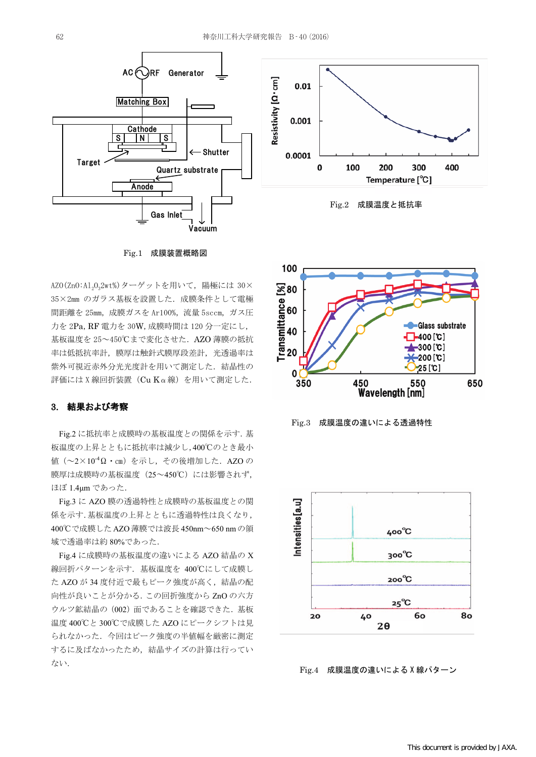





Fig.1 成膜装置概略図

AZO(ZnO:A1,0,2wt%) ターゲットを用いて、陽極には 30× 35×2mm のガラス基板を設置した. 成膜条件として電極 間距離を 25mm, 成膜ガスを Ar100%, 流量 5sccm, ガス圧 力を 2Pa, RF 電力を 30W, 成膜時間は 120 分一定にし, 基板温度を 25~450℃まで変化させた. AZO 薄膜の抵抗 率は低抵抗率計、膜厚は触針式膜厚段差計、光透過率は 紫外可視近赤外分光光度計を用いて測定した. 結晶性の 評価には ; 線回折装置(Cu Kα線)を用いて測定した.

#### 3. 結果および考察

Fig.2 に抵抗率と成膜時の基板温度との関係を示す.基 板温度の上昇とともに抵抗率は減少し,400℃のとき最小 値(~2×10-4Ω・㎝)を示し,その後増加した.AZO の 膜厚は成膜時の基板温度 (25~450℃)には影響されず, ほぼ 1.4μm であった.

Fig.3 に AZO 膜の透過特性と成膜時の基板温度との関 係を示す.基板温度の上昇とともに透過特性は良くなり, 400℃で成膜した AZO 薄膜では波長 450nm~650 nm の領 域で透過率は約 80%であった.

Fig.4 に成膜時の基板温度の違いによる AZO 結晶の X 線回折パターンを示す. 基板温度を 400℃にして成膜し た AZO が 34 度付近で最もピーク強度が高く,結晶の配 向性が良いことが分かる.この回折強度から ZnO の六方 ウルツ鉱結晶の(002)面であることを確認できた.基板 温度 400℃と 300℃で成膜した AZO にピークシフトは見 られなかった.今回はピーク強度の半値幅を厳密に測定 するに及ばなかったため,結晶サイズの計算は行ってい ない.







 $Fig.4$  成膜温度の違いによる X線パターン